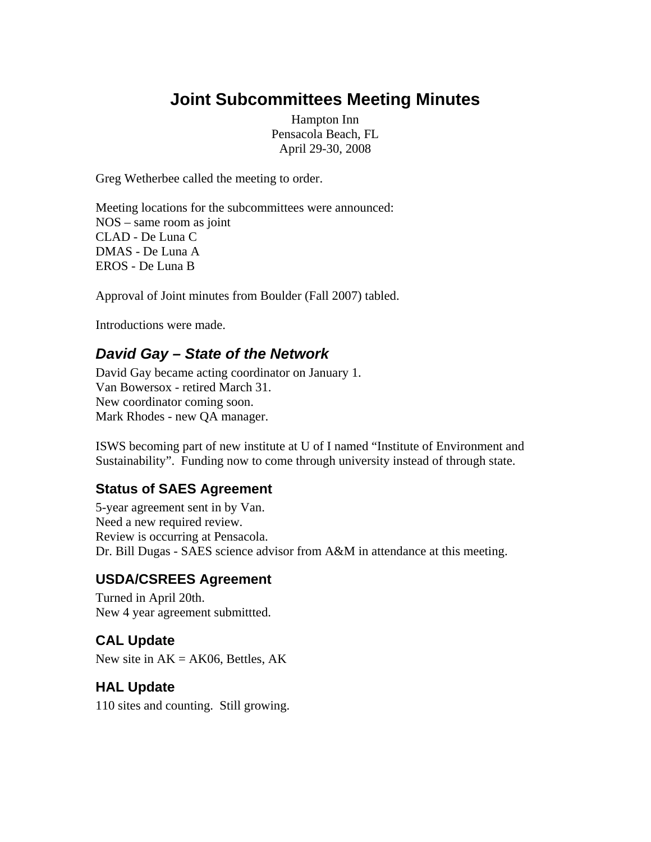# **Joint Subcommittees Meeting Minutes**

Hampton Inn Pensacola Beach, FL April 29-30, 2008

Greg Wetherbee called the meeting to order.

Meeting locations for the subcommittees were announced: NOS – same room as joint CLAD - De Luna C DMAS - De Luna A EROS - De Luna B

Approval of Joint minutes from Boulder (Fall 2007) tabled.

Introductions were made.

## *David Gay – State of the Network*

David Gay became acting coordinator on January 1. Van Bowersox - retired March 31. New coordinator coming soon. Mark Rhodes - new QA manager.

ISWS becoming part of new institute at U of I named "Institute of Environment and Sustainability". Funding now to come through university instead of through state.

#### **Status of SAES Agreement**

5-year agreement sent in by Van. Need a new required review. Review is occurring at Pensacola. Dr. Bill Dugas - SAES science advisor from A&M in attendance at this meeting.

### **USDA/CSREES Agreement**

Turned in April 20th. New 4 year agreement submittted.

## **CAL Update**

New site in  $AK = AK06$ , Bettles,  $AK$ 

#### **HAL Update**

110 sites and counting. Still growing.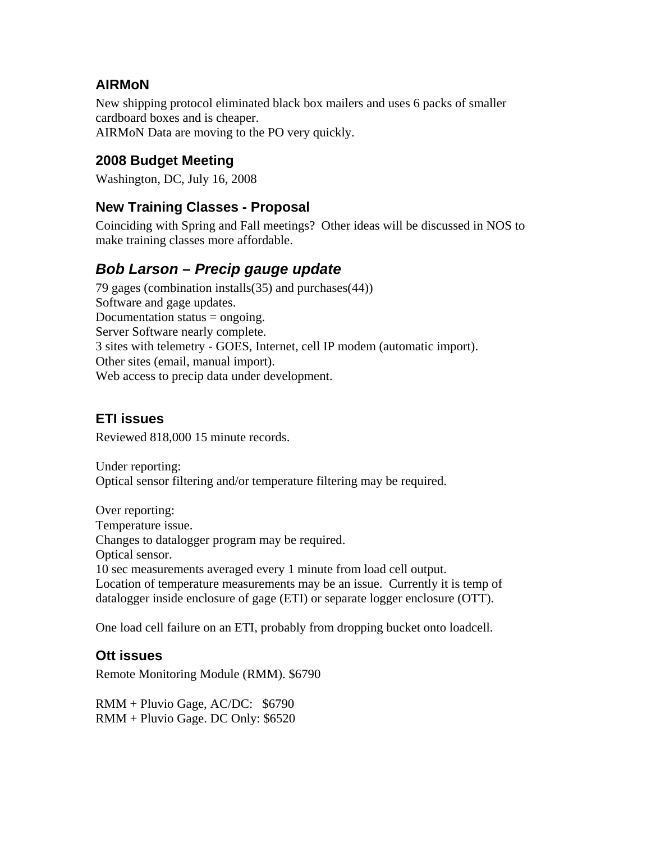## **AIRMoN**

New shipping protocol eliminated black box mailers and uses 6 packs of smaller cardboard boxes and is cheaper. AIRMoN Data are moving to the PO very quickly.

## **2008 Budget Meeting**

Washington, DC, July 16, 2008

### **New Training Classes - Proposal**

Coinciding with Spring and Fall meetings? Other ideas will be discussed in NOS to make training classes more affordable.

## *Bob Larson – Precip gauge update*

79 gages (combination installs(35) and purchases(44)) Software and gage updates. Documentation status = ongoing. Server Software nearly complete. 3 sites with telemetry - GOES, Internet, cell IP modem (automatic import). Other sites (email, manual import). Web access to precip data under development.

### **ETI issues**

Reviewed 818,000 15 minute records.

Under reporting: Optical sensor filtering and/or temperature filtering may be required.

Over reporting: Temperature issue. Changes to datalogger program may be required. Optical sensor. 10 sec measurements averaged every 1 minute from load cell output. Location of temperature measurements may be an issue. Currently it is temp of datalogger inside enclosure of gage (ETI) or separate logger enclosure (OTT).

One load cell failure on an ETI, probably from dropping bucket onto loadcell.

### **Ott issues**

Remote Monitoring Module (RMM). \$6790

RMM + Pluvio Gage, AC/DC: \$6790 RMM + Pluvio Gage. DC Only: \$6520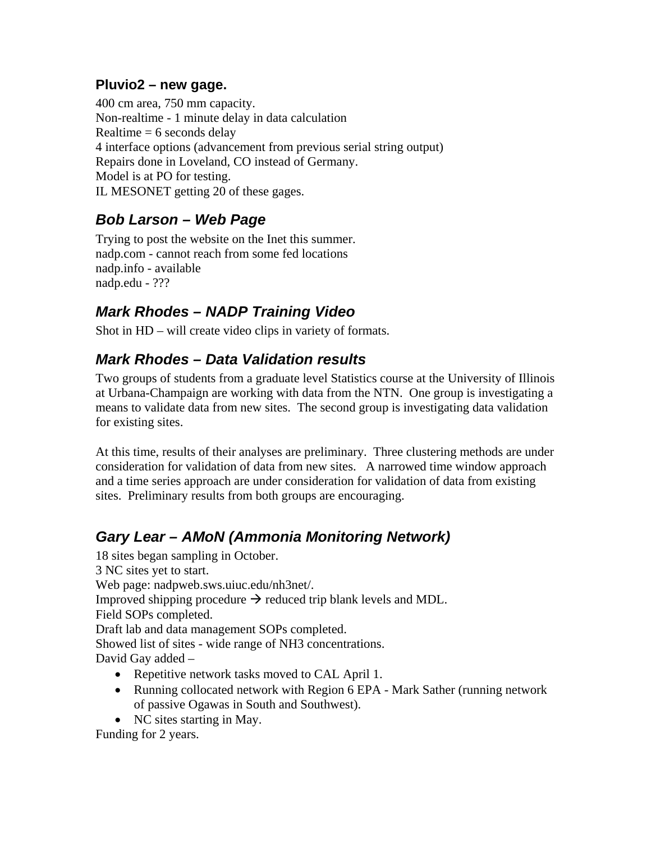## **Pluvio2 – new gage.**

400 cm area, 750 mm capacity. Non-realtime - 1 minute delay in data calculation Realtime  $= 6$  seconds delay 4 interface options (advancement from previous serial string output) Repairs done in Loveland, CO instead of Germany. Model is at PO for testing. IL MESONET getting 20 of these gages.

## *Bob Larson – Web Page*

Trying to post the website on the Inet this summer. nadp.com - cannot reach from some fed locations nadp.info - available nadp.edu - ???

# *Mark Rhodes – NADP Training Video*

Shot in HD – will create video clips in variety of formats.

## *Mark Rhodes – Data Validation results*

Two groups of students from a graduate level Statistics course at the University of Illinois at Urbana-Champaign are working with data from the NTN. One group is investigating a means to validate data from new sites. The second group is investigating data validation for existing sites.

At this time, results of their analyses are preliminary. Three clustering methods are under consideration for validation of data from new sites. A narrowed time window approach and a time series approach are under consideration for validation of data from existing sites. Preliminary results from both groups are encouraging.

# *Gary Lear – AMoN (Ammonia Monitoring Network)*

18 sites began sampling in October. 3 NC sites yet to start. Web page: nadpweb.sws.uiuc.edu/nh3net/. Improved shipping procedure  $\rightarrow$  reduced trip blank levels and MDL. Field SOPs completed. Draft lab and data management SOPs completed. Showed list of sites - wide range of NH3 concentrations. David Gay added – • Repetitive network tasks moved to CAL April 1.

- Running collocated network with Region 6 EPA Mark Sather (running network of passive Ogawas in South and Southwest).
- NC sites starting in May.

Funding for 2 years.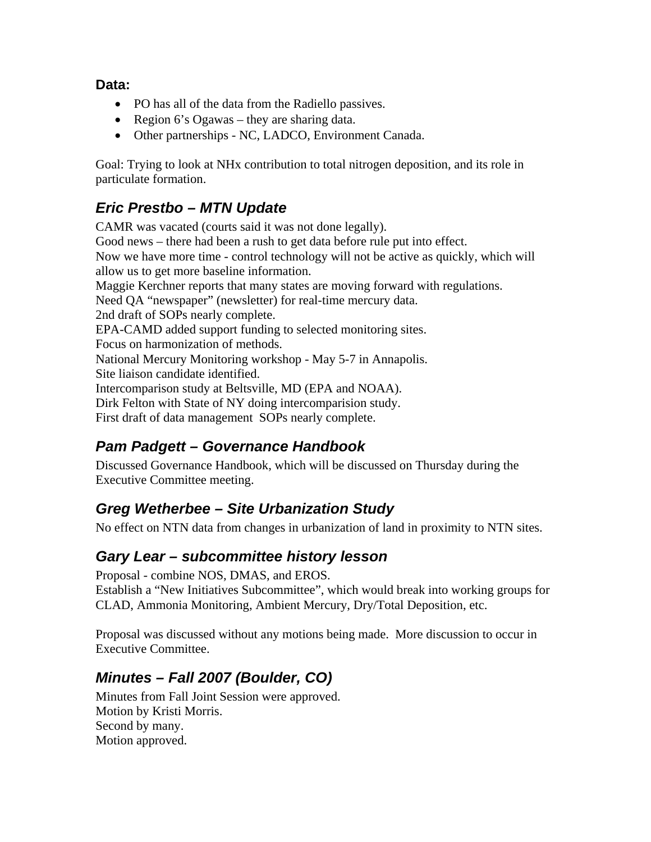**Data:** 

- PO has all of the data from the Radiello passives.
- Region 6's Ogawas they are sharing data.
- Other partnerships NC, LADCO, Environment Canada.

Goal: Trying to look at NHx contribution to total nitrogen deposition, and its role in particulate formation.

## *Eric Prestbo – MTN Update*

CAMR was vacated (courts said it was not done legally). Good news – there had been a rush to get data before rule put into effect. Now we have more time - control technology will not be active as quickly, which will allow us to get more baseline information. Maggie Kerchner reports that many states are moving forward with regulations. Need QA "newspaper" (newsletter) for real-time mercury data. 2nd draft of SOPs nearly complete. EPA-CAMD added support funding to selected monitoring sites. Focus on harmonization of methods. National Mercury Monitoring workshop - May 5-7 in Annapolis. Site liaison candidate identified. Intercomparison study at Beltsville, MD (EPA and NOAA). Dirk Felton with State of NY doing intercomparision study. First draft of data management SOPs nearly complete.

# *Pam Padgett – Governance Handbook*

Discussed Governance Handbook, which will be discussed on Thursday during the Executive Committee meeting.

# *Greg Wetherbee – Site Urbanization Study*

No effect on NTN data from changes in urbanization of land in proximity to NTN sites.

# *Gary Lear – subcommittee history lesson*

Proposal - combine NOS, DMAS, and EROS.

Establish a "New Initiatives Subcommittee", which would break into working groups for CLAD, Ammonia Monitoring, Ambient Mercury, Dry/Total Deposition, etc.

Proposal was discussed without any motions being made. More discussion to occur in Executive Committee.

# *Minutes – Fall 2007 (Boulder, CO)*

Minutes from Fall Joint Session were approved. Motion by Kristi Morris. Second by many. Motion approved.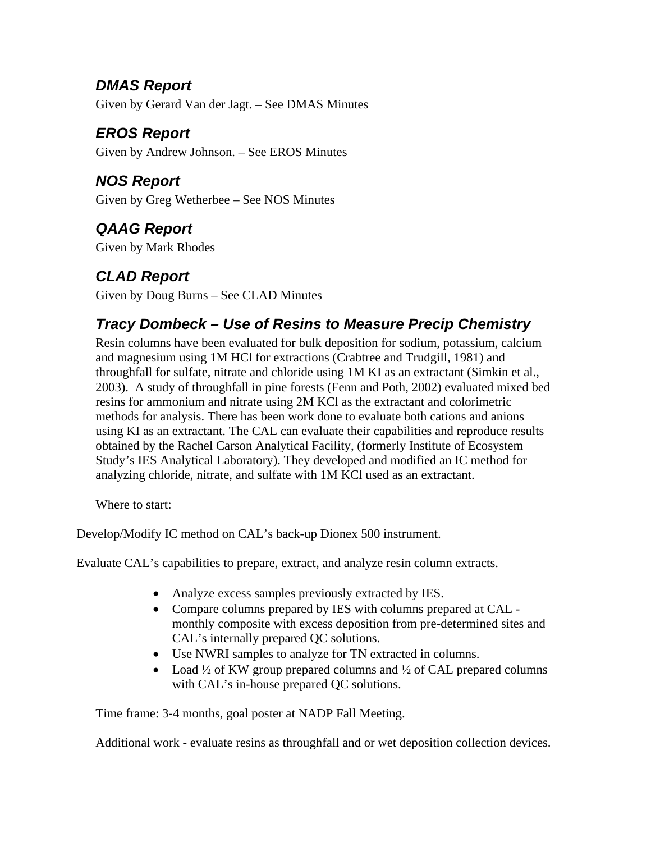## *DMAS Report*  Given by Gerard Van der Jagt. – See DMAS Minutes

# *EROS Report*

Given by Andrew Johnson. – See EROS Minutes

# *NOS Report*

Given by Greg Wetherbee – See NOS Minutes

# *QAAG Report*

Given by Mark Rhodes

# *CLAD Report*

Given by Doug Burns – See CLAD Minutes

# *Tracy Dombeck – Use of Resins to Measure Precip Chemistry*

Resin columns have been evaluated for bulk deposition for sodium, potassium, calcium and magnesium using 1M HCl for extractions (Crabtree and Trudgill, 1981) and throughfall for sulfate, nitrate and chloride using 1M KI as an extractant (Simkin et al., 2003). A study of throughfall in pine forests (Fenn and Poth, 2002) evaluated mixed bed resins for ammonium and nitrate using 2M KCl as the extractant and colorimetric methods for analysis. There has been work done to evaluate both cations and anions using KI as an extractant. The CAL can evaluate their capabilities and reproduce results obtained by the Rachel Carson Analytical Facility, (formerly Institute of Ecosystem Study's IES Analytical Laboratory). They developed and modified an IC method for analyzing chloride, nitrate, and sulfate with 1M KCl used as an extractant.

Where to start:

Develop/Modify IC method on CAL's back-up Dionex 500 instrument.

Evaluate CAL's capabilities to prepare, extract, and analyze resin column extracts.

- Analyze excess samples previously extracted by IES.
- Compare columns prepared by IES with columns prepared at CAL monthly composite with excess deposition from pre-determined sites and CAL's internally prepared QC solutions.
- Use NWRI samples to analyze for TN extracted in columns.
- Load  $\frac{1}{2}$  of KW group prepared columns and  $\frac{1}{2}$  of CAL prepared columns with CAL's in-house prepared QC solutions.

Time frame: 3-4 months, goal poster at NADP Fall Meeting.

Additional work - evaluate resins as throughfall and or wet deposition collection devices.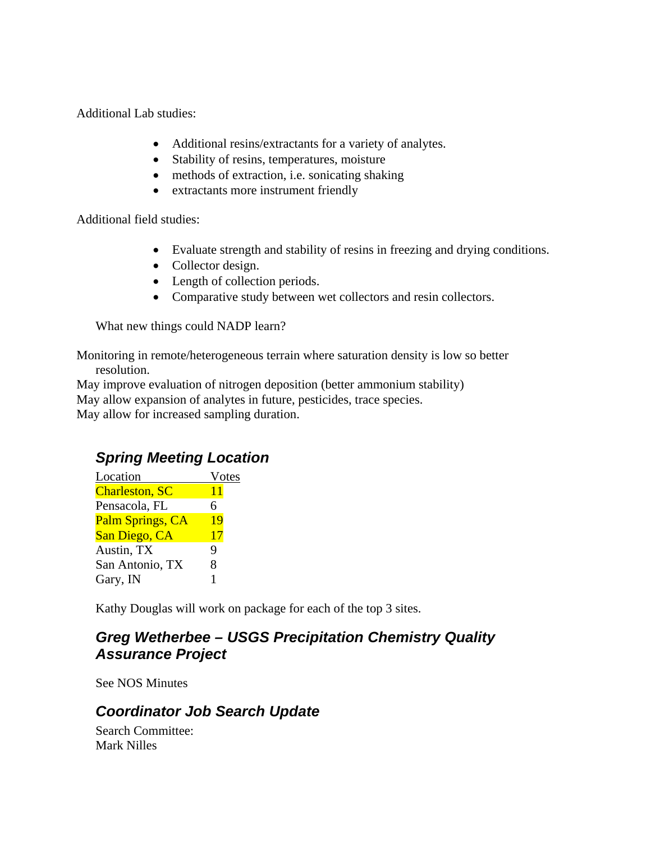Additional Lab studies:

- Additional resins/extractants for a variety of analytes.
- Stability of resins, temperatures, moisture
- methods of extraction, i.e. sonicating shaking
- extractants more instrument friendly

Additional field studies:

- Evaluate strength and stability of resins in freezing and drying conditions.
- Collector design.
- Length of collection periods.
- Comparative study between wet collectors and resin collectors.

What new things could NADP learn?

Monitoring in remote/heterogeneous terrain where saturation density is low so better resolution.

May improve evaluation of nitrogen deposition (better ammonium stability) May allow expansion of analytes in future, pesticides, trace species. May allow for increased sampling duration.

## *Spring Meeting Location*

| Location              | Votes |
|-----------------------|-------|
| <b>Charleston, SC</b> | 11    |
| Pensacola, FL         | 6     |
| Palm Springs, CA      | 19    |
| San Diego, CA         | 17    |
| Austin, TX            | 9     |
| San Antonio, TX       | 8     |
| Gary, IN              |       |

Kathy Douglas will work on package for each of the top 3 sites.

## *Greg Wetherbee – USGS Precipitation Chemistry Quality Assurance Project*

See NOS Minutes

## *Coordinator Job Search Update*

Search Committee: Mark Nilles